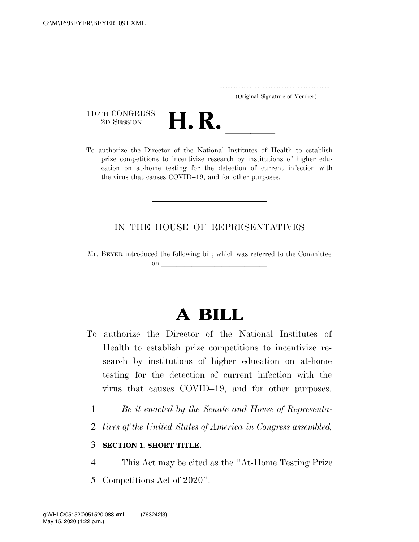..................................................................... (Original Signature of Member)

116TH CONGRESS<br>2D SESSION



116TH CONGRESS<br>
2D SESSION<br>
To authorize the Director of the National Institutes of Health to establish prize competitions to incentivize research by institutions of higher education on at-home testing for the detection of current infection with the virus that causes COVID–19, and for other purposes.

# IN THE HOUSE OF REPRESENTATIVES

Mr. BEYER introduced the following bill; which was referred to the Committee on llarge states and the states of the states of the states of the states of the states of the states of the states of the states of the states of the states of the states of the states of the states of the states of the s

# **A BILL**

- To authorize the Director of the National Institutes of Health to establish prize competitions to incentivize research by institutions of higher education on at-home testing for the detection of current infection with the virus that causes COVID–19, and for other purposes.
	- 1 *Be it enacted by the Senate and House of Representa-*
	- 2 *tives of the United States of America in Congress assembled,*

### 3 **SECTION 1. SHORT TITLE.**

- 4 This Act may be cited as the ''At-Home Testing Prize
- 5 Competitions Act of 2020''.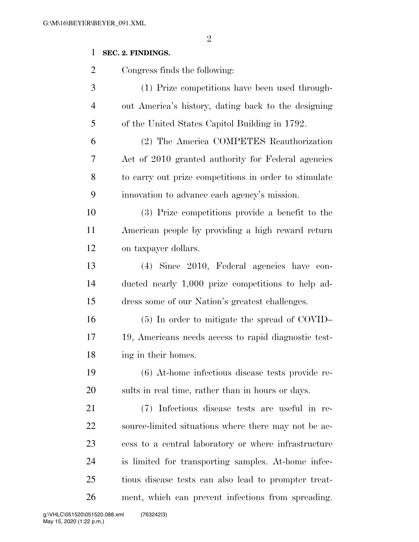#### 

# **SEC. 2. FINDINGS.**

Congress finds the following:

| 3              | (1) Prize competitions have been used through-      |
|----------------|-----------------------------------------------------|
| $\overline{4}$ | out America's history, dating back to the designing |
| 5              | of the United States Capitol Building in 1792.      |

 (2) The America COMPETES Reauthorization Act of 2010 granted authority for Federal agencies to carry out prize competitions in order to stimulate innovation to advance each agency's mission.

 (3) Prize competitions provide a benefit to the American people by providing a high reward return on taxpayer dollars.

 (4) Since 2010, Federal agencies have con- ducted nearly 1,000 prize competitions to help ad-dress some of our Nation's greatest challenges.

 (5) In order to mitigate the spread of COVID– 19, Americans needs access to rapid diagnostic test-ing in their homes.

 (6) At-home infectious disease tests provide re-sults in real time, rather than in hours or days.

 (7) Infectious disease tests are useful in re- source-limited situations where there may not be ac- cess to a central laboratory or where infrastructure is limited for transporting samples. At-home infec- tious disease tests can also lead to prompter treat-ment, which can prevent infections from spreading.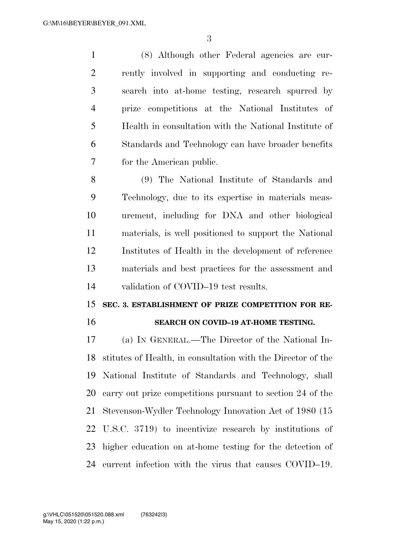(8) Although other Federal agencies are cur- rently involved in supporting and conducting re- search into at-home testing, research spurred by prize competitions at the National Institutes of Health in consultation with the National Institute of Standards and Technology can have broader benefits for the American public.

 (9) The National Institute of Standards and Technology, due to its expertise in materials meas- urement, including for DNA and other biological materials, is well positioned to support the National Institutes of Health in the development of reference materials and best practices for the assessment and validation of COVID–19 test results.

# **SEC. 3. ESTABLISHMENT OF PRIZE COMPETITION FOR RE-SEARCH ON COVID–19 AT-HOME TESTING.**

 (a) IN GENERAL.—The Director of the National In- stitutes of Health, in consultation with the Director of the National Institute of Standards and Technology, shall carry out prize competitions pursuant to section 24 of the Stevenson-Wydler Technology Innovation Act of 1980 (15 U.S.C. 3719) to incentivize research by institutions of higher education on at-home testing for the detection of current infection with the virus that causes COVID–19.